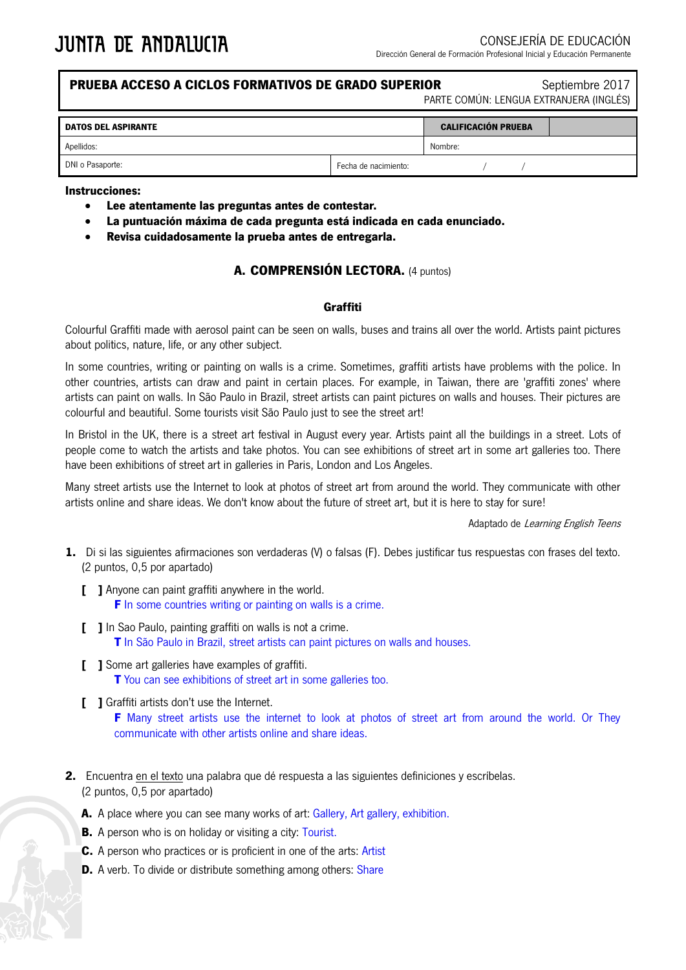## **PRUEBA ACCESO A CICLOS FORMATIVOS DE GRADO SUPERIOR** Septiembre 2017

PARTE COMÚN: LENGUA EXTRANJERA (INGLÉS)

| <b>DATOS DEL ASPIRANTE</b> |                      | <b>CALIFICACIÓN PRUEBA</b> |  |
|----------------------------|----------------------|----------------------------|--|
| Apellidos:                 |                      | Nombre:                    |  |
| DNI o Pasaporte:           | Fecha de nacimiento: |                            |  |

### **Instrucciones:**

- **Lee atentamente las preguntas antes de contestar.**
- **La puntuación máxima de cada pregunta está indicada en cada enunciado.**
- **Revisa cuidadosamente la prueba antes de entregarla.**

### **A. COMPRENSIÓN LECTORA.** (4 puntos)

#### **Graffiti**

Colourful Graffiti made with aerosol paint can be seen on walls, buses and trains all over the world. Artists paint pictures about politics, nature, life, or any other subject.

In some countries, writing or painting on walls is a crime. Sometimes, graffiti artists have problems with the police. In other countries, artists can draw and paint in certain places. For example, in Taiwan, there are 'graffiti zones' where artists can paint on walls. In São Paulo in Brazil, street artists can paint pictures on walls and houses. Their pictures are colourful and beautiful. Some tourists visit São Paulo just to see the street art!

In Bristol in the UK, there is a street art festival in August every year. Artists paint all the buildings in a street. Lots of people come to watch the artists and take photos. You can see exhibitions of street art in some art galleries too. There have been exhibitions of street art in galleries in Paris, London and Los Angeles.

Many street artists use the Internet to look at photos of street art from around the world. They communicate with other artists online and share ideas. We don't know about the future of street art, but it is here to stay for sure!

Adaptado de Learning English Teens

- **1.** Di si las siguientes afirmaciones son verdaderas (V) o falsas (F). Debes justificar tus respuestas con frases del texto. (2 puntos, 0,5 por apartado)
	- **[ ]** Anyone can paint graffiti anywhere in the world. **F** In some countries writing or painting on walls is a crime.
	- **[ ]** In Sao Paulo, painting graffiti on walls is not a crime. **T** In São Paulo in Brazil, street artists can paint pictures on walls and houses.
	- **[ ]** Some art galleries have examples of graffiti. **T** You can see exhibitions of street art in some galleries too.
	- **[ ]** Graffiti artists don't use the Internet. **F** Many street artists use the internet to look at photos of street art from around the world. Or They communicate with other artists online and share ideas.
- **2.** Encuentra en el texto una palabra que dé respuesta a las siguientes definiciones y escríbelas. (2 puntos, 0,5 por apartado)
	- **A.** A place where you can see many works of art: Gallery, Art gallery, exhibition.
	- **B.** A person who is on holiday or visiting a city: Tourist.
	- **C.** A person who practices or is proficient in one of the arts: Artist
	- **D.** A verb. To divide or distribute something among others: Share